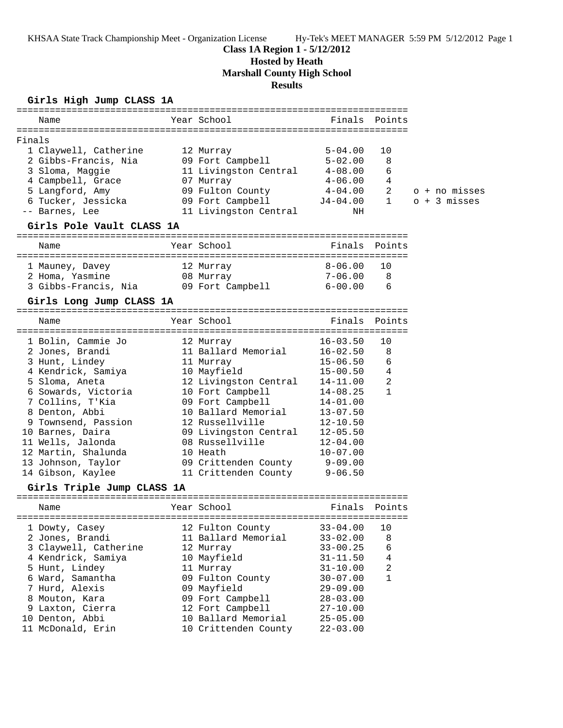KHSAA State Track Championship Meet - Organization License Hy-Tek's MEET MANAGER 5:59 PM 5/12/2012 Page 1

## **Class 1A Region 1 - 5/12/2012**

# **Hosted by Heath**

**Marshall County High School**

**Results**

## **Girls High Jump CLASS 1A**

|        | Name                       |  | Year School           | Finals       | Points         |                |  |
|--------|----------------------------|--|-----------------------|--------------|----------------|----------------|--|
|        |                            |  |                       |              |                |                |  |
| Finals |                            |  |                       |              |                |                |  |
|        | 1 Claywell, Catherine      |  | 12 Murray             | $5 - 04.00$  | 10             |                |  |
|        | 2 Gibbs-Francis, Nia       |  | 09 Fort Campbell      | $5 - 02.00$  | 8              |                |  |
|        | 3 Sloma, Maggie            |  | 11 Livingston Central | $4 - 08.00$  | 6              |                |  |
|        | 4 Campbell, Grace          |  | 07 Murray             | $4 - 06.00$  | 4              |                |  |
|        | 5 Langford, Amy            |  | 09 Fulton County      | $4 - 04.00$  | 2              | o + no misses  |  |
|        | 6 Tucker, Jessicka         |  | 09 Fort Campbell      | $J4-04.00$   | 1              | $o + 3$ misses |  |
|        | -- Barnes, Lee             |  | 11 Livingston Central | ΝH           |                |                |  |
|        | Girls Pole Vault CLASS 1A  |  |                       |              |                |                |  |
|        | Name                       |  | Year School           | Finals       | Points         |                |  |
|        | 1 Mauney, Davey            |  | 12 Murray             | $8 - 06.00$  | 10             |                |  |
|        | 2 Homa, Yasmine            |  | 08 Murray             | $7 - 06.00$  | 8              |                |  |
|        | 3 Gibbs-Francis, Nia       |  | 09 Fort Campbell      | $6 - 00.00$  | 6              |                |  |
|        |                            |  |                       |              |                |                |  |
|        | Girls Long Jump CLASS 1A   |  |                       |              |                |                |  |
|        | Name                       |  | Year School           | Finals       | Points         |                |  |
|        | 1 Bolin, Cammie Jo         |  | 12 Murray             | $16 - 03.50$ | 10             |                |  |
|        | 2 Jones, Brandi            |  | 11 Ballard Memorial   | $16 - 02.50$ | 8              |                |  |
|        | 3 Hunt, Lindey             |  | 11 Murray             | $15 - 06.50$ | 6              |                |  |
|        | 4 Kendrick, Samiya         |  | 10 Mayfield           | $15 - 00.50$ | $\overline{4}$ |                |  |
|        | 5 Sloma, Aneta             |  | 12 Livingston Central | 14-11.00     | 2              |                |  |
|        | 6 Sowards, Victoria        |  | 10 Fort Campbell      | $14 - 08.25$ | $\mathbf{1}$   |                |  |
|        | 7 Collins, T'Kia           |  | 09 Fort Campbell      | $14 - 01.00$ |                |                |  |
|        | 8 Denton, Abbi             |  | 10 Ballard Memorial   | $13 - 07.50$ |                |                |  |
|        | 9 Townsend, Passion        |  | 12 Russellville       | $12 - 10.50$ |                |                |  |
|        | 10 Barnes, Daira           |  | 09 Livingston Central | $12 - 05.50$ |                |                |  |
|        | 11 Wells, Jalonda          |  | 08 Russellville       | $12 - 04.00$ |                |                |  |
|        | 12 Martin, Shalunda        |  | 10 Heath              | $10 - 07.00$ |                |                |  |
|        | 13 Johnson, Taylor         |  | 09 Crittenden County  | $9 - 09.00$  |                |                |  |
|        | 14 Gibson, Kaylee          |  | 11 Crittenden County  | $9 - 06.50$  |                |                |  |
|        | Girls Triple Jump CLASS 1A |  |                       |              |                |                |  |
|        | Name                       |  | Year School           | Finals       | Points         |                |  |
|        |                            |  |                       |              |                |                |  |
|        | 1 Dowty, Casey             |  | 12 Fulton County      | $33 - 04.00$ | 10             |                |  |
|        | 2 Jones, Brandi            |  | 11 Ballard Memorial   | $33 - 02.00$ | 8              |                |  |
|        | 3 Claywell, Catherine      |  | 12 Murray             | $33 - 00.25$ | 6              |                |  |
|        | 4 Kendrick, Samiya         |  | 10 Mayfield           | $31 - 11.50$ | 4              |                |  |
|        | 5 Hunt, Lindey             |  | 11 Murray             | $31 - 10.00$ | 2              |                |  |
|        | 6 Ward, Samantha           |  | 09 Fulton County      | $30 - 07.00$ | 1              |                |  |
|        | 7 Hurd, Alexis             |  | 09 Mayfield           | $29 - 09.00$ |                |                |  |
|        | 8 Mouton, Kara             |  | 09 Fort Campbell      | $28 - 03.00$ |                |                |  |
|        | 9 Laxton, Cierra           |  | 12 Fort Campbell      | $27 - 10.00$ |                |                |  |
|        | 10 Denton, Abbi            |  | 10 Ballard Memorial   | $25 - 05.00$ |                |                |  |
|        | 11 McDonald, Erin          |  | 10 Crittenden County  | $22 - 03.00$ |                |                |  |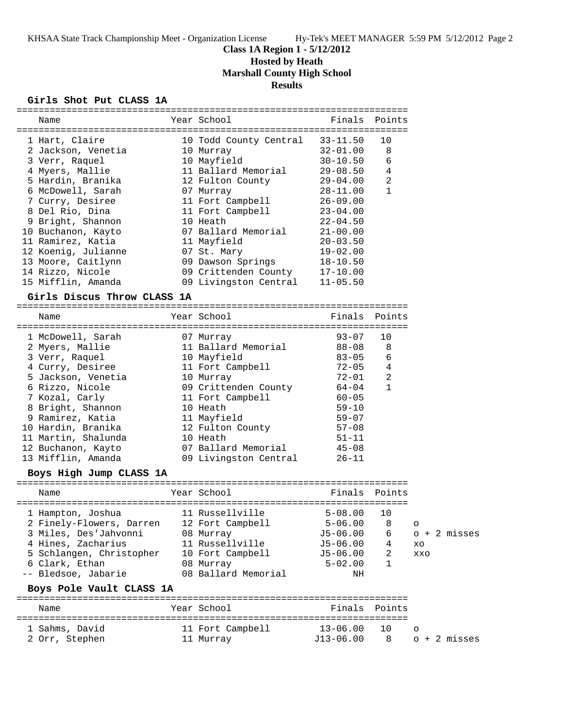## **Class 1A Region 1 - 5/12/2012**

## **Hosted by Heath**

**Marshall County High School**

## **Results**

## **Girls Shot Put CLASS 1A**

| Name                        | Year School            | Finals       | Points       |     |                |
|-----------------------------|------------------------|--------------|--------------|-----|----------------|
| 1 Hart, Claire              | 10 Todd County Central | $33 - 11.50$ | 10           |     |                |
| 2 Jackson, Venetia          | 10 Murray              | $32 - 01.00$ | 8            |     |                |
| 3 Verr, Raquel              | 10 Mayfield            | $30 - 10.50$ | 6            |     |                |
| 4 Myers, Mallie             | 11 Ballard Memorial    | $29 - 08.50$ | 4            |     |                |
| 5 Hardin, Branika           | 12 Fulton County       | $29 - 04.00$ | 2            |     |                |
| 6 McDowell, Sarah           | 07 Murray              | $28 - 11.00$ | $\mathbf 1$  |     |                |
| 7 Curry, Desiree            | 11 Fort Campbell       | $26 - 09.00$ |              |     |                |
| 8 Del Rio, Dina             | 11 Fort Campbell       | $23 - 04.00$ |              |     |                |
| 9 Bright, Shannon           | 10 Heath               | $22 - 04.50$ |              |     |                |
| 10 Buchanon, Kayto          | 07 Ballard Memorial    | $21 - 00.00$ |              |     |                |
| 11 Ramirez, Katia           | 11 Mayfield            | $20 - 03.50$ |              |     |                |
| 12 Koenig, Julianne         | 07 St. Mary            | $19 - 02.00$ |              |     |                |
| 13 Moore, Caitlynn          | 09 Dawson Springs      | $18 - 10.50$ |              |     |                |
| 14 Rizzo, Nicole            | 09 Crittenden County   | $17 - 10.00$ |              |     |                |
| 15 Mifflin, Amanda          | 09 Livingston Central  | $11 - 05.50$ |              |     |                |
|                             |                        |              |              |     |                |
| Girls Discus Throw CLASS 1A |                        |              |              |     |                |
| Name                        | Year School            | Finals       | Points       |     |                |
|                             |                        |              |              |     |                |
| 1 McDowell, Sarah           | 07 Murray              | $93 - 07$    | 10           |     |                |
| 2 Myers, Mallie             | 11 Ballard Memorial    | $88 - 08$    | 8            |     |                |
| 3 Verr, Raquel              | 10 Mayfield            | $83 - 05$    | 6            |     |                |
| 4 Curry, Desiree            | 11 Fort Campbell       | $72 - 05$    | 4            |     |                |
| 5 Jackson, Venetia          | 10 Murray              | 72-01        | 2            |     |                |
| 6 Rizzo, Nicole             | 09 Crittenden County   | 64-04        | $\mathbf{1}$ |     |                |
| 7 Kozal, Carly              | 11 Fort Campbell       | $60 - 05$    |              |     |                |
| 8 Bright, Shannon           | 10 Heath               | $59 - 10$    |              |     |                |
| 9 Ramirez, Katia            | 11 Mayfield            | $59 - 07$    |              |     |                |
| 10 Hardin, Branika          | 12 Fulton County       | $57 - 08$    |              |     |                |
| 11 Martin, Shalunda         | 10 Heath               | $51 - 11$    |              |     |                |
|                             | 07 Ballard Memorial    |              |              |     |                |
| 12 Buchanon, Kayto          |                        | $45 - 08$    |              |     |                |
| 13 Mifflin, Amanda          | 09 Livingston Central  | $26 - 11$    |              |     |                |
| Boys High Jump CLASS 1A     |                        |              |              |     |                |
| Name                        | Year School            | Finals       | Points       |     |                |
|                             |                        |              |              |     |                |
| 1 Hampton, Joshua           | 11 Russellville        | $5 - 08.00$  | 10           |     |                |
| 2 Finely-Flowers, Darren    | 12 Fort Campbell       | $5 - 06.00$  | 8            | O   |                |
| 3 Miles, Des'Jahvonni       | 08 Murray              | $J5 - 06.00$ | 6            |     | o + 2 misses   |
| 4 Hines, Zacharius          | 11 Russellville        | $J5 - 06.00$ | 4            | XO  |                |
| 5 Schlangen, Christopher    | 10 Fort Campbell       | $J5 - 06.00$ | 2            | XXO |                |
| 6 Clark, Ethan              | 08 Murray              | $5 - 02.00$  | 1            |     |                |
| -- Bledsoe, Jabarie         | 08 Ballard Memorial    | ΝH           |              |     |                |
| Boys Pole Vault CLASS 1A    |                        |              |              |     |                |
|                             |                        |              |              |     |                |
| Name                        | Year School            | Finals       | Points       |     |                |
| 1 Sahms, David              | 11 Fort Campbell       | $13 - 06.00$ | 10           | O   |                |
| 2 Orr, Stephen              | 11 Murray              | $J13-06.00$  | 8            |     | $o + 2$ misses |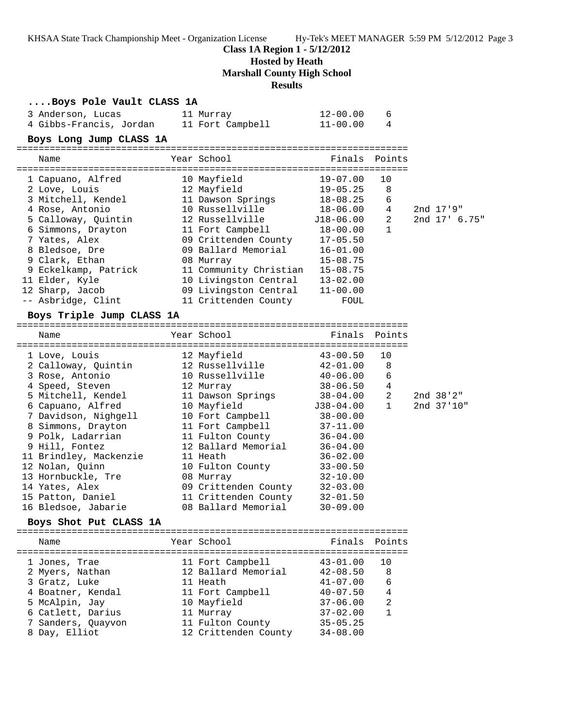KHSAA State Track Championship Meet - Organization License Hy-Tek's MEET MANAGER 5:59 PM 5/12/2012 Page 3

**Class 1A Region 1 - 5/12/2012**

**Hosted by Heath**

**Marshall County High School**

**Results**

#### **....Boys Pole Vault CLASS 1A**

| 3 Anderson, Lucas       | 11 Murray        | 12-00.00 |  |
|-------------------------|------------------|----------|--|
| 4 Gibbs-Francis, Jordan | 11 Fort Campbell | 11-00.00 |  |

#### **Boys Long Jump CLASS 1A**

| Name                 | Year School                          | Finals Points |    |                      |
|----------------------|--------------------------------------|---------------|----|----------------------|
| 1 Capuano, Alfred    | ---------------------<br>10 Mayfield | 19-07.00      | 10 |                      |
| 2 Love, Louis        | 12 Mayfield                          | $19 - 05.25$  | 8  |                      |
| 3 Mitchell, Kendel   | 11 Dawson Springs                    | 18-08.25      | 6  |                      |
| 4 Rose, Antonio      | 10 Russellville                      | $18 - 06.00$  | 4  | 2nd 17'9"            |
| 5 Calloway, Quintin  | 12 Russellville                      | J18-06.00     | 2  | $2nd$ $17'$ $6.75''$ |
| 6 Simmons, Drayton   | 11 Fort Campbell                     | $18 - 00.00$  |    |                      |
| 7 Yates, Alex        | 09 Crittenden County                 | $17 - 05.50$  |    |                      |
| 8 Bledsoe, Dre       | 09 Ballard Memorial                  | $16 - 01.00$  |    |                      |
| 9 Clark, Ethan       | 08 Murray                            | $15 - 08.75$  |    |                      |
| 9 Eckelkamp, Patrick | 11 Community Christian               | $15 - 08.75$  |    |                      |
| 11 Elder, Kyle       | 10 Livingston Central                | $13 - 02.00$  |    |                      |
| 12 Sharp, Jacob      | 09 Livingston Central                | $11 - 00.00$  |    |                      |
| -- Asbridge, Clint   | 11 Crittenden County                 | FOUL          |    |                      |

#### **Boys Triple Jump CLASS 1A**

======================================================================= Name Year School Finals Points ======================================================================= 1 Love, Louis 12 Mayfield 43-00.50 10 2 Calloway, Quintin 12 Russellville 42-01.00 8 3 Rose, Antonio 10 Russellville 40-06.00 6 4 Speed, Steven 12 Murray 38-06.50 4 5 Mitchell, Kendel 11 Dawson Springs 38-04.00 2 2nd 38'2" 6 Capuano, Alfred 10 Mayfield J38-04.00 1 2nd 37'10" 7 Davidson, Nighgell 10 Fort Campbell 38-00.00 8 Simmons, Drayton 11 Fort Campbell 37-11.00 9 Polk, Ladarrian 11 Fulton County 36-04.00 9 Hill, Fontez 12 Ballard Memorial 36-04.00 11 Brindley, Mackenzie 11 Heath 36-02.00 12 Nolan, Quinn 10 Fulton County 33-00.50 13 Hornbuckle, Tre 08 Murray 32-10.00 14 Yates, Alex 09 Crittenden County 32-03.00 15 Patton, Daniel 11 Crittenden County 32-01.50 16 Bledsoe, Jabarie 08 Ballard Memorial 30-09.00

### **Boys Shot Put CLASS 1A**

======================================================================= Name The Year School The Finals Points ======================================================================= 1 Jones, Trae 11 Fort Campbell 43-01.00 10 2 Myers, Nathan 12 Ballard Memorial 42-08.50 8 3 Gratz, Luke 11 Heath 41-07.00 6 4 Boatner, Kendal 11 Fort Campbell 40-07.50 4 5 McAlpin, Jay 10 Mayfield 37-06.00 2 6 Catlett, Darius 11 Murray 37-02.00 1 7 Sanders, Quayvon 11 Fulton County 35-05.25 8 Day, Elliot 12 Crittenden County 34-08.00